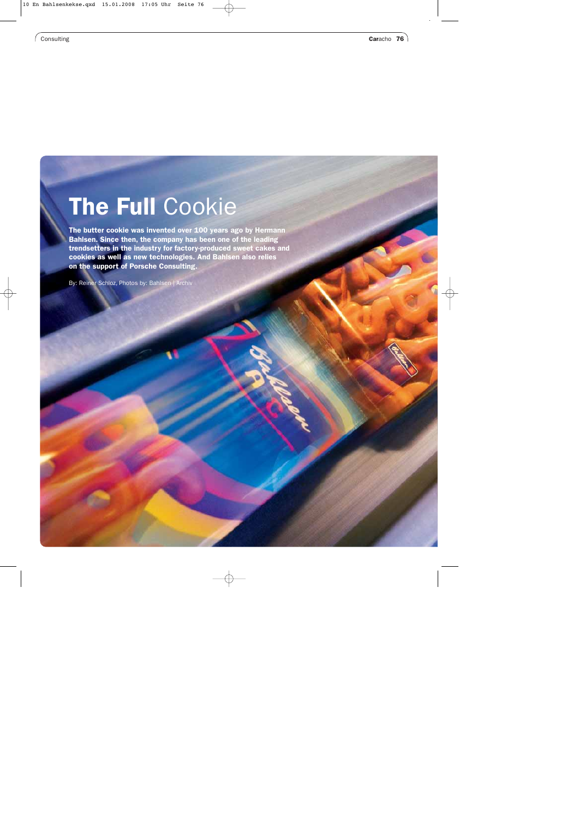## **The Full Cookie**

**The butter cookie was invented over 100 years ago by Hermann Bahlsen. Since then, the company has been one of the leading trendsetters in the industry for factory-produced sweet cakes and cookies as well as new technologies. And Bahlsen also relies on the support of Porsche Consulting.**

By: Reiner Schloz, Photos by: Bahlsen | Archiv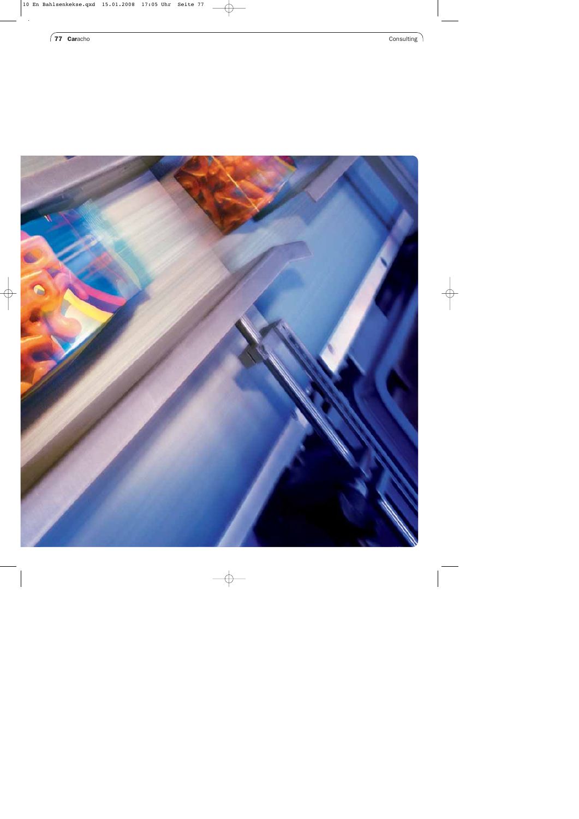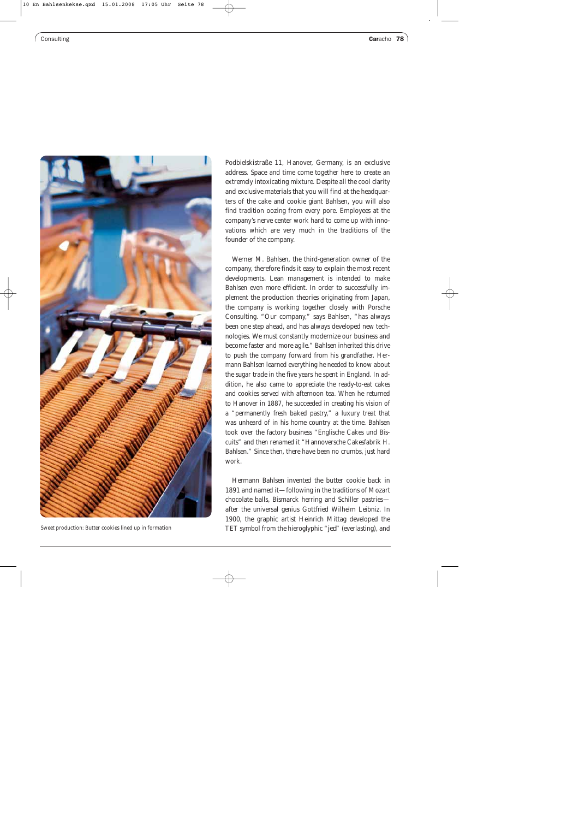

Podbielskistraße 11, Hanover, Germany, is an exclusive address. Space and time come together here to create an extremely intoxicating mixture. Despite all the cool clarity and exclusive materials that you will find at the headquarters of the cake and cookie giant Bahlsen, you will also find tradition oozing from every pore. Employees at the company's nerve center work hard to come up with innovations which are very much in the traditions of the founder of the company.

Werner M. Bahlsen, the third-generation owner of the company, therefore finds it easy to explain the most recent developments. Lean management is intended to make Bahlsen even more efficient. In order to successfully implement the production theories originating from Japan, the company is working together closely with Porsche Consulting. "Our company," says Bahlsen, "has always been one step ahead, and has always developed new technologies. We must constantly modernize our business and become faster and more agile." Bahlsen inherited this drive to push the company forward from his grandfather. Hermann Bahlsen learned everything he needed to know about the sugar trade in the five years he spent in England. In addition, he also came to appreciate the ready-to-eat cakes and cookies served with afternoon tea. When he returned to Hanover in 1887, he succeeded in creating his vision of a "permanently fresh baked pastry," a luxury treat that was unheard of in his home country at the time. Bahlsen took over the factory business "Englische Cakes und Biscuits" and then renamed it "Hannoversche Cakesfabrik H. Bahlsen." Since then, there have been no crumbs, just hard work.

Hermann Bahlsen invented the butter cookie back in 1891 and named it—following in the traditions of Mozart chocolate balls, Bismarck herring and Schiller pastries after the universal genius Gottfried Wilhelm Leibniz. In 1900, the graphic artist Heinrich Mittag developed the Sweet production: Butter cookies lined up in formation TET symbol from the hieroglyphic "*jed*" (everlasting), and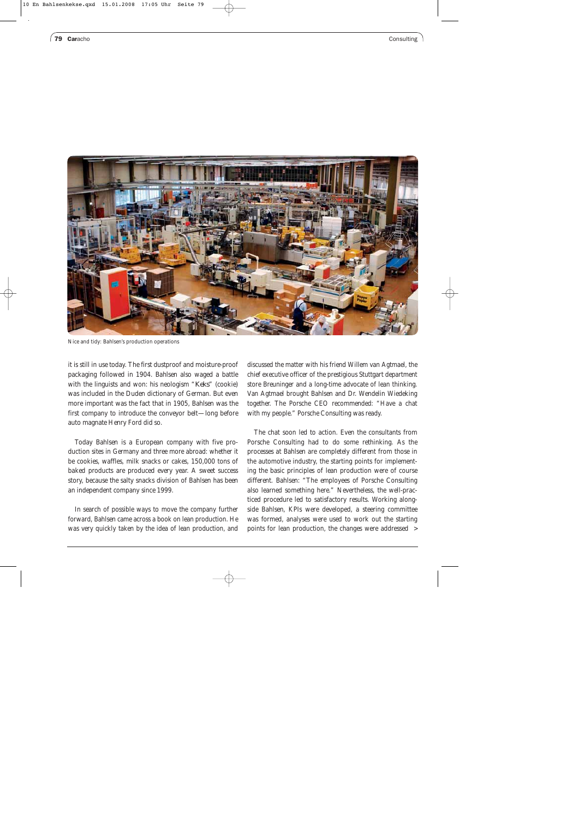

Nice and tidy: Bahlsen's production operations

it is still in use today. The first dustproof and moisture-proof packaging followed in 1904. Bahlsen also waged a battle with the linguists and won: his neologism "*Keks*" (cookie) was included in the Duden dictionary of German. But even more important was the fact that in 1905, Bahlsen was the first company to introduce the conveyor belt—long before auto magnate Henry Ford did so.

Today Bahlsen is a European company with five production sites in Germany and three more abroad: whether it be cookies, waffles, milk snacks or cakes, 150,000 tons of baked products are produced every year. A sweet success story, because the salty snacks division of Bahlsen has been an independent company since 1999.

In search of possible ways to move the company further forward, Bahlsen came across a book on lean production. He was very quickly taken by the idea of lean production, and

discussed the matter with his friend Willem van Agtmael, the chief executive officer of the prestigious Stuttgart department store Breuninger and a long-time advocate of lean thinking. Van Agtmael brought Bahlsen and Dr. Wendelin Wiedeking together. The Porsche CEO recommended: "Have a chat with my people." Porsche Consulting was ready.

The chat soon led to action. Even the consultants from Porsche Consulting had to do some rethinking. As the processes at Bahlsen are completely different from those in the automotive industry, the starting points for implementing the basic principles of lean production were of course different. Bahlsen: "The employees of Porsche Consulting also learned something here." Nevertheless, the well-practiced procedure led to satisfactory results. Working alongside Bahlsen, KPIs were developed, a steering committee was formed, analyses were used to work out the starting points for lean production, the changes were addressed >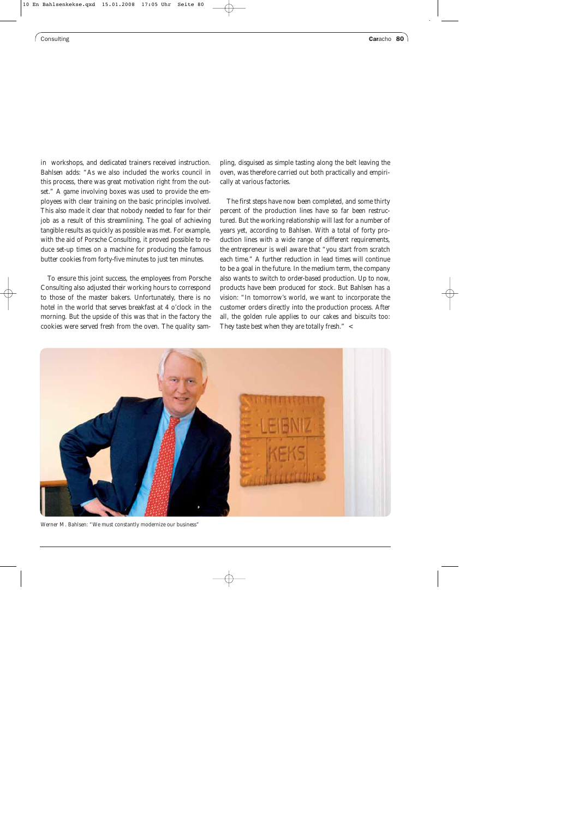in workshops, and dedicated trainers received instruction. Bahlsen adds: "As we also included the works council in this process, there was great motivation right from the outset." A game involving boxes was used to provide the employees with clear training on the basic principles involved. This also made it clear that nobody needed to fear for their job as a result of this streamlining. The goal of achieving tangible results as quickly as possible was met. For example, with the aid of Porsche Consulting, it proved possible to reduce set-up times on a machine for producing the famous butter cookies from forty-five minutes to just ten minutes.

To ensure this joint success, the employees from Porsche Consulting also adjusted their working hours to correspond to those of the master bakers. Unfortunately, there is no hotel in the world that serves breakfast at 4 o'clock in the morning. But the upside of this was that in the factory the cookies were served fresh from the oven. The quality sam-

pling, disguised as simple tasting along the belt leaving the oven, was therefore carried out both practically and empirically at various factories.

The first steps have now been completed, and some thirty percent of the production lines have so far been restructured. But the working relationship will last for a number of years yet, according to Bahlsen. With a total of forty production lines with a wide range of different requirements, the entrepreneur is well aware that "you start from scratch each time." A further reduction in lead times will continue to be a goal in the future. In the medium term, the company also wants to switch to order-based production. Up to now, products have been produced for stock. But Bahlsen has a vision: "In tomorrow's world, we want to incorporate the customer orders directly into the production process. After all, the golden rule applies to our cakes and biscuits too: They taste best when they are totally fresh." <



Werner M. Bahlsen: "We must constantly modernize our business"